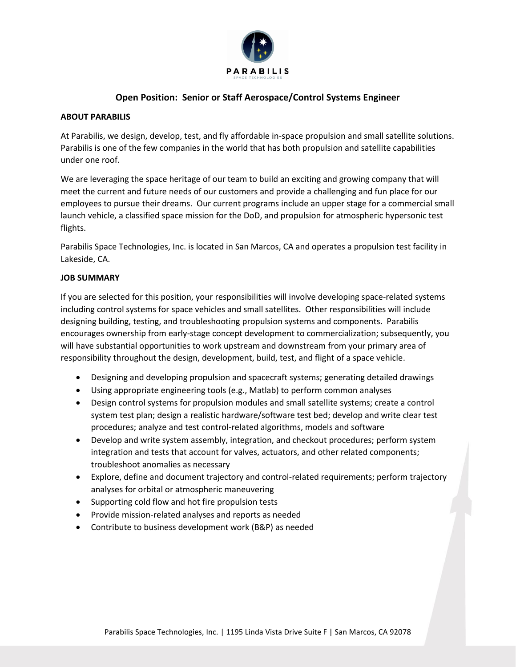

# **Open Position: Senior or Staff Aerospace/Control Systems Engineer**

#### **ABOUT PARABILIS**

At Parabilis, we design, develop, test, and fly affordable in-space propulsion and small satellite solutions. Parabilis is one of the few companies in the world that has both propulsion and satellite capabilities under one roof.

We are leveraging the space heritage of our team to build an exciting and growing company that will meet the current and future needs of our customers and provide a challenging and fun place for our employees to pursue their dreams. Our current programs include an upper stage for a commercial small launch vehicle, a classified space mission for the DoD, and propulsion for atmospheric hypersonic test flights.

Parabilis Space Technologies, Inc. is located in San Marcos, CA and operates a propulsion test facility in Lakeside, CA.

## **JOB SUMMARY**

If you are selected for this position, your responsibilities will involve developing space-related systems including control systems for space vehicles and small satellites. Other responsibilities will include designing building, testing, and troubleshooting propulsion systems and components. Parabilis encourages ownership from early-stage concept development to commercialization; subsequently, you will have substantial opportunities to work upstream and downstream from your primary area of responsibility throughout the design, development, build, test, and flight of a space vehicle.

- Designing and developing propulsion and spacecraft systems; generating detailed drawings
- Using appropriate engineering tools (e.g., Matlab) to perform common analyses
- Design control systems for propulsion modules and small satellite systems; create a control system test plan; design a realistic hardware/software test bed; develop and write clear test procedures; analyze and test control-related algorithms, models and software
- Develop and write system assembly, integration, and checkout procedures; perform system integration and tests that account for valves, actuators, and other related components; troubleshoot anomalies as necessary
- Explore, define and document trajectory and control-related requirements; perform trajectory analyses for orbital or atmospheric maneuvering
- Supporting cold flow and hot fire propulsion tests
- Provide mission-related analyses and reports as needed
- Contribute to business development work (B&P) as needed